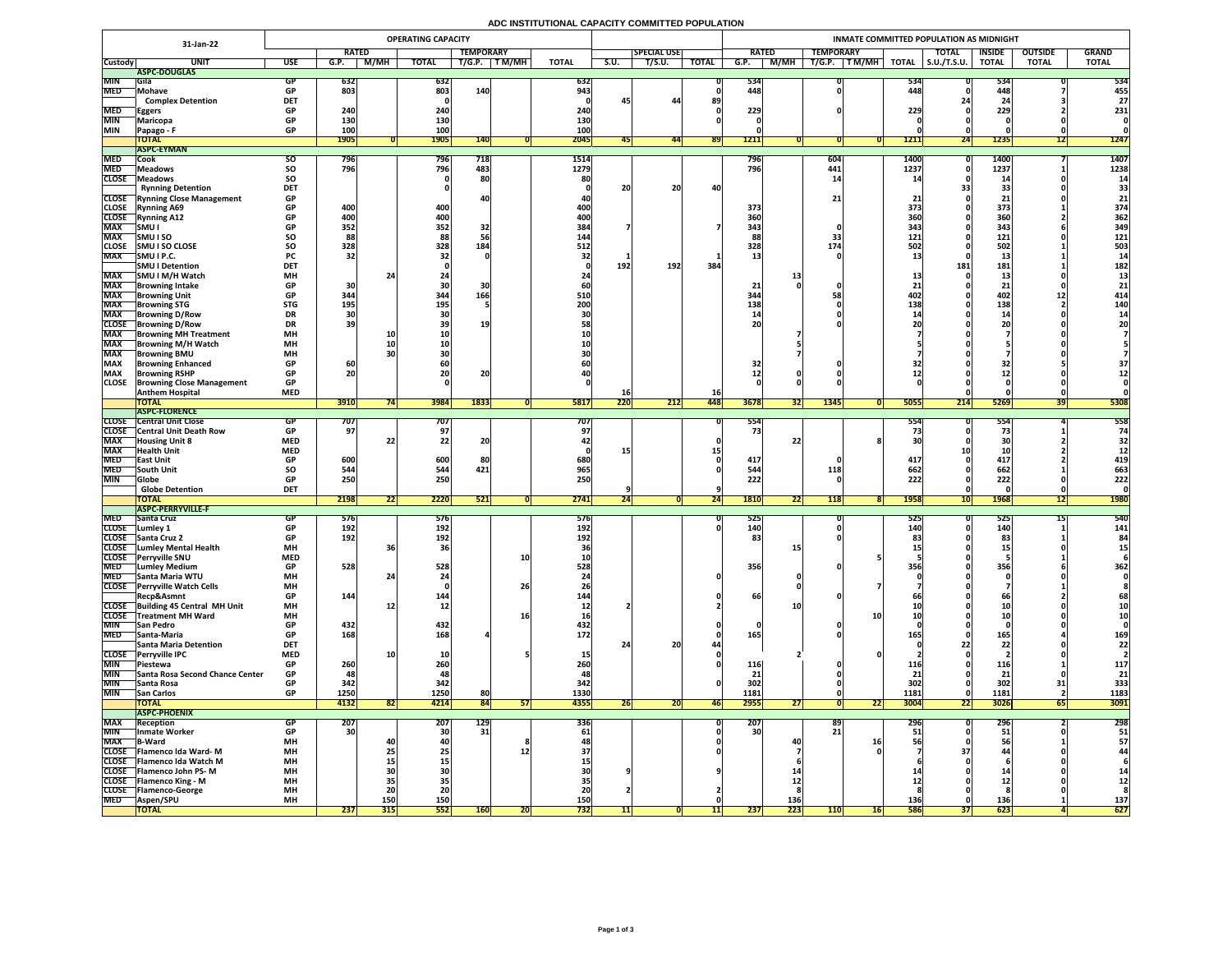# **ADC INSTITUTIONAL CAPACITY COMMITTED POPULATION**

|                              | 31-Jan-22                                                  | <b>OPERATING CAPACITY</b>        |                  |            |                        |             |           |                  | <b>INMATE COMMITTED POPULATION AS MIDNIGHT</b> |                    |              |                                  |      |             |                                                       |              |                     |                                               |                |                |
|------------------------------|------------------------------------------------------------|----------------------------------|------------------|------------|------------------------|-------------|-----------|------------------|------------------------------------------------|--------------------|--------------|----------------------------------|------|-------------|-------------------------------------------------------|--------------|---------------------|-----------------------------------------------|----------------|----------------|
|                              |                                                            | <b>TEMPORARY</b><br><b>RATED</b> |                  |            |                        |             |           |                  |                                                | <b>SPECIAL USE</b> |              | <b>RATED</b><br><b>TEMPORARY</b> |      |             |                                                       |              | <b>TOTAL</b>        | <b>INSIDE</b>                                 | <b>OUTSIDE</b> | <b>GRAND</b>   |
| <b>Custody</b>               | <b>UNI</b>                                                 | <b>USE</b>                       | G.P.             | M/MH       | <b>TOTAL</b>           | T/G.P.      | T M/MH    | <b>TOTAL</b>     | S.U.                                           | T/S.U.             | <b>TOTAL</b> | G.P.                             | M/MH | T/G.P.      | $\boxed{\mathsf{T}\,\mathsf{M}/\mathsf{M}\mathsf{H}}$ | <b>TOTAL</b> | $\vert$ S.U./T.S.U. | <b>TOTAL</b>                                  | <b>TOTAL</b>   | <b>TOTAL</b>   |
|                              | ASPC-DOUGLAS                                               |                                  |                  |            |                        |             |           |                  |                                                |                    |              |                                  |      |             |                                                       |              |                     |                                               |                |                |
| <b>MIN</b>                   | <b>SGila</b>                                               |                                  | 632              |            | 632                    |             |           | 632              |                                                |                    |              | 534                              |      |             |                                                       | 5341         |                     | 534                                           |                | 534            |
| <b>MED</b>                   | Mohave                                                     |                                  | 803              |            | 803                    | <b>140</b>  |           | 943              |                                                |                    |              | 448                              |      |             |                                                       | 448          |                     | 448                                           |                | 455            |
|                              | <b>Complex Detention</b>                                   | <b>DET</b>                       |                  |            |                        |             |           |                  | 45                                             | 44                 | 89           |                                  |      |             |                                                       |              |                     | 2 <sup>i</sup>                                |                | 27             |
| <b>MED</b>                   | <b>Eggers</b>                                              | <b>GP</b>                        | 240              |            | 240                    |             |           | 240              |                                                |                    |              | 229                              |      |             |                                                       | 229          |                     | 229                                           |                | 231            |
| <b>MIN</b>                   | <b>Maricopa</b>                                            |                                  | 130              |            | <b>130</b>             |             |           | 130              |                                                |                    |              |                                  |      |             |                                                       |              |                     |                                               |                |                |
| <b>MIN</b>                   | Papago - F                                                 | <b>GP</b>                        | 100              |            | 100                    |             |           | 100              |                                                |                    |              |                                  |      |             |                                                       |              |                     |                                               |                |                |
|                              | <b>TOTAL</b><br><b>ASPC-EYMAN</b>                          |                                  | <b>1905</b>      |            | <b>1905</b>            | <b>140</b>  |           | 2045             |                                                | <b>44</b>          | <b>891</b>   | 1211                             |      |             |                                                       | <b>1211</b>  | 24                  | <b>1235</b>                                   | L              | 1247           |
| <b>MED</b>                   | Cook                                                       | SU.                              | 796              |            | 796                    | 718         |           | 1514             |                                                |                    |              | 796                              |      | 604         |                                                       | <b>1400</b>  |                     | <b>1400</b>                                   |                | 1407           |
| <b>MED</b>                   | <b>Meadows</b>                                             | <b>SO</b>                        | 796              |            | 796                    | 483         |           | 1279             |                                                |                    |              | 796                              |      | 441         |                                                       | 1237         |                     | 1237                                          |                | 1238           |
| <b>CLOSE</b>                 | <b>Meadows</b>                                             | <b>SO</b>                        |                  |            |                        | 80          |           | 80               |                                                |                    |              |                                  |      | 14          |                                                       |              |                     | $\begin{array}{c} \n\textbf{1} \n\end{array}$ |                | <b>14</b>      |
|                              | <b>Rynning Detention</b>                                   | <b>DET</b>                       |                  |            |                        |             |           |                  | 20                                             | 20 <sub>1</sub>    | 40           |                                  |      |             |                                                       |              | 331                 | 33                                            |                | 33             |
|                              | <b>CLOSE</b> Rynning Close Management                      | <b>GP</b>                        |                  |            |                        |             |           | 40I              |                                                |                    |              |                                  |      | 21          |                                                       |              |                     |                                               |                | 21             |
| <b>CLOSE</b>                 | <b>Rynning A69</b>                                         | <b>GP</b>                        | 400              |            | 400                    |             |           | 400              |                                                |                    |              | 373                              |      |             |                                                       | 373          |                     | 373                                           |                | 374            |
| <b>CLOSE</b>                 | <b>Rynning A12</b>                                         | <b>GP</b>                        | 400              |            | 400                    |             |           | <b>400</b>       |                                                |                    |              | 360                              |      |             |                                                       | 360          |                     | 360                                           |                | 362            |
| <b>MAX</b>                   | <b>SMUI</b>                                                | <b>GP</b>                        | 352              |            | 352                    | 32          |           | 384              |                                                |                    |              | 343                              |      |             |                                                       | 343          |                     | 343                                           |                | 349            |
| <b>MAX</b>                   | <b>SMUISO</b>                                              | SO                               | 88               |            | 88                     |             |           | 144              |                                                |                    |              | 88                               |      | 33          |                                                       | 121          |                     | 121                                           |                | 121            |
| <b>CLOSE</b>                 | <b>SMUISO CLOSE</b>                                        | <b>SO</b>                        | 328              |            | 328                    | 184         |           | 512              |                                                |                    |              | 328                              |      | 174         |                                                       | <b>502</b>   |                     | 502                                           |                | 503            |
| <b>MAX</b>                   | <b>SMUIP.C.</b>                                            | <b>PC</b>                        | 32               |            |                        |             |           |                  |                                                |                    |              |                                  |      |             |                                                       |              |                     | 13                                            |                |                |
|                              | <b>SMU I Detention</b>                                     | <b>DET</b>                       |                  |            |                        |             |           |                  | 192                                            | 192                | 384          |                                  |      |             |                                                       |              | <b>181</b>          | 181                                           |                | 182            |
| <b>MAX</b>                   | <b>SMU I M/H Watch</b>                                     | <b>MH</b>                        | 30               |            |                        |             |           |                  |                                                |                    |              |                                  |      |             |                                                       |              |                     | 13                                            |                |                |
| <b>MAX</b><br><b>MAX</b>     | <b>Browning Intake</b>                                     | <b>GP</b><br><b>GP</b>           | 344              |            | 344                    | 166         |           | <b>510</b>       |                                                |                    |              | 21<br>344                        |      |             |                                                       | 402          |                     | 402                                           |                | 414            |
| <b>MAX</b>                   | <b>Browning Unit</b><br><b>Browning STG</b>                | <b>STG</b>                       | 195              |            | 195                    |             |           | 200              |                                                |                    |              | 138                              |      |             |                                                       | 138          |                     | 138                                           | TT,            | 140            |
| <b>MAX</b>                   | <b>Browning D/Row</b>                                      | <b>DR</b>                        |                  |            |                        |             |           |                  |                                                |                    |              |                                  |      |             |                                                       |              |                     | $\bullet$                                     |                |                |
| <b>CLOSE</b>                 | <b>Browning D/Row</b>                                      | <b>DR</b>                        |                  |            |                        | 19          |           |                  |                                                |                    |              | <b>20</b>                        |      |             |                                                       |              |                     |                                               |                |                |
| <b>MAX</b>                   | <b>Browning MH Treatment</b>                               | <b>MH</b>                        |                  | TÛ         |                        |             |           |                  |                                                |                    |              |                                  |      |             |                                                       |              |                     |                                               |                |                |
| <b>MAX</b>                   | <b>TBrowning M/H Watch</b>                                 | <b>MH</b>                        |                  |            |                        |             |           |                  |                                                |                    |              |                                  |      |             |                                                       |              |                     |                                               |                |                |
| <b>MAX</b>                   | <b>Browning BMU</b>                                        | <b>MH</b>                        |                  |            |                        |             |           |                  |                                                |                    |              |                                  |      |             |                                                       |              |                     |                                               |                |                |
| <b>MAX</b>                   | <b>Browning Enhanced</b>                                   | <b>GP</b>                        | 60 <sub>1</sub>  |            |                        |             |           |                  |                                                |                    |              | 32                               |      |             |                                                       |              |                     |                                               |                |                |
| <b>MAX</b>                   | <b>Browning RSHP</b>                                       | <b>GP</b>                        | 20               |            | 20                     | nn.<br>ZU   |           |                  |                                                |                    |              |                                  |      |             |                                                       |              |                     |                                               |                | 12             |
| <b>CLOSE</b>                 | <b>Browning Close Management</b>                           | <b>GP</b>                        |                  |            |                        |             |           |                  |                                                |                    |              |                                  |      |             |                                                       |              |                     |                                               |                |                |
|                              | <b>Anthem Hospital</b>                                     | <b>MED</b>                       |                  |            |                        |             |           |                  | TO                                             |                    | <b>16</b>    |                                  |      |             |                                                       |              |                     |                                               |                |                |
|                              | <b>TOTAL</b>                                               |                                  | 3910             |            | 3984                   | <b>1833</b> |           | 5817             | 220                                            | 212                | <b>448</b>   | 3678                             | 32   | <b>1345</b> |                                                       | 5055         | 214                 | 5269                                          | 391            | 5308           |
|                              | <b>ASPC-FLORENCE</b>                                       |                                  |                  |            |                        |             |           |                  |                                                |                    |              |                                  |      |             |                                                       |              |                     |                                               |                |                |
| <b>CLOSE</b><br><b>CLOSE</b> | <b>Central Unit Close</b><br><b>Central Unit Death Row</b> |                                  | 101<br>97        |            | 707                    |             |           | 707<br>97        |                                                |                    |              | 554<br>73                        |      |             |                                                       | 554          |                     | <b>554</b>                                    |                | 558<br>74      |
| <b>MAX</b>                   | <b>Housing Unit 8</b>                                      | <b>MED</b>                       |                  |            | 97<br>22               |             |           |                  |                                                |                    |              |                                  |      |             |                                                       |              |                     |                                               |                | 32             |
| <b>MAX</b>                   | <b>Health Unit</b>                                         | <b>MED</b>                       |                  |            |                        | ZU          |           |                  |                                                |                    |              |                                  |      |             |                                                       |              |                     |                                               |                |                |
| <b>MED</b>                   | <b>East Unit</b>                                           | <b>GP</b>                        | 600              |            | 600                    | 80          |           | <b>680</b>       |                                                |                    |              | 417                              |      |             |                                                       | 417          |                     | 417                                           |                | 419            |
| <b>MED</b>                   | <b>South Unit</b>                                          | <b>SO</b>                        | 544              |            | 544                    | 421         |           | 965              |                                                |                    |              | 544                              |      | <b>118</b>  |                                                       | 662          |                     | 662                                           |                | 663            |
| <b>MIN</b>                   | Globe                                                      | <b>GP</b>                        | 250              |            | 250                    |             |           | 250              |                                                |                    |              | 222                              |      |             |                                                       | 222          |                     | 222                                           |                | 222            |
|                              | <b>Globe Detention</b>                                     | <b>DET</b>                       |                  |            |                        |             |           |                  |                                                |                    |              |                                  |      |             |                                                       |              |                     |                                               |                |                |
|                              | <b>TOTAL</b>                                               |                                  | 2198             | 221        | 2220                   | 521         |           | 2741             | <b>Z4</b>                                      |                    | <b>Z41</b>   | <b>1810</b>                      | 22   | <b>118</b>  |                                                       | 1958         | <b>10</b>           | <b>1968</b>                                   | 12             | <b>1980</b>    |
|                              | <b>TASPC-PERRYVILLE-F</b>                                  |                                  |                  |            |                        |             |           |                  |                                                |                    |              |                                  |      |             |                                                       |              |                     |                                               |                |                |
| <b>MED</b>                   | <b>Santa Cruz</b>                                          |                                  | 5/6              |            | 5/6                    |             |           | <b>576</b>       |                                                |                    |              | 525                              |      |             |                                                       | 525          |                     | 525                                           |                | 540            |
| <b>CLOSE</b>                 | Lumley 1                                                   |                                  | 192              |            | 192                    |             |           | 192              |                                                |                    |              | <b>140</b>                       |      |             |                                                       | <b>140</b>   |                     | 140                                           |                | 141            |
|                              | CLOSE Santa Cruz 2                                         | <b>UF</b>                        | 192              |            | 192                    |             |           | 192              |                                                |                    |              | 83                               |      |             |                                                       | ാ<br>OJ I    |                     | റി<br><b>PD</b>                               |                | O <sub>1</sub> |
|                              | CLOSE Lumley Mental Health                                 | <b>MH</b>                        |                  |            | 36                     |             |           |                  |                                                |                    |              |                                  |      |             |                                                       |              |                     |                                               |                |                |
| <b>CLOSE</b>                 | <b>Perryville SNU</b>                                      | <b>MED</b>                       |                  |            |                        |             |           |                  |                                                |                    |              |                                  |      |             |                                                       |              |                     |                                               |                |                |
| <b>MED</b><br><b>MED</b>     | <b>Lumley Medium</b><br><b>Santa Maria WTU</b>             | <b>GP</b><br><b>MH</b>           | 528              |            | 528                    |             |           | 528              |                                                |                    |              | 356                              |      |             |                                                       | 356          |                     | 356                                           |                | 362            |
| <b>CLOSE</b>                 | <b>Perryville Watch Cells</b>                              | <b>MH</b>                        |                  |            |                        |             | <b>26</b> |                  |                                                |                    |              |                                  |      |             |                                                       |              |                     |                                               |                |                |
|                              | Recp&Asmnt                                                 | <b>GP</b>                        | 144              |            | 144                    |             |           | 144              |                                                |                    |              | 66                               |      |             |                                                       |              |                     |                                               |                |                |
| <b>CLOSE</b>                 | Building 45 Central MH Unit                                | <b>MH</b>                        |                  | <b>12</b>  |                        |             |           |                  |                                                |                    |              |                                  |      |             |                                                       |              |                     |                                               |                |                |
| <b>CLOSE</b>                 | <sup>1</sup> Treatment MH Ward                             | <b>MH</b>                        |                  |            |                        |             |           |                  |                                                |                    |              |                                  |      |             |                                                       |              |                     |                                               |                |                |
| <b>MIN</b>                   | <b>San Pedro</b>                                           | <b>GP</b>                        | 432              |            | 432                    |             |           | 432              |                                                |                    |              |                                  |      |             |                                                       |              |                     |                                               |                |                |
| <b>MED</b>                   | <b>Santa-Maria</b>                                         |                                  | 168              |            | 168                    |             |           | 172              |                                                |                    |              | 165                              |      |             |                                                       |              |                     | 165                                           |                | 169            |
|                              | <b>Santa Maria Detention</b>                               | <b>DET</b>                       |                  |            |                        |             |           |                  |                                                |                    |              |                                  |      |             |                                                       |              |                     |                                               |                |                |
| <b>CLOSE</b>                 | <b>Perryville IPC</b>                                      | <b>MED</b>                       |                  |            | <b>10</b>              |             |           |                  |                                                |                    |              |                                  |      |             |                                                       |              |                     |                                               |                |                |
| <b>MIN</b>                   | Piestewa                                                   | <b>GP</b>                        | 260              |            | 260                    |             |           | 260              |                                                |                    |              | <b>116</b>                       |      |             |                                                       | 116          |                     | <b>116</b>                                    |                | 117            |
| <b>MIN</b>                   | Santa Rosa Second Chance Center                            | <b>GP</b>                        |                  |            |                        |             |           |                  |                                                |                    |              |                                  |      |             |                                                       |              |                     |                                               |                | 21             |
| <b>MIN</b>                   | <b>Santa Rosa</b>                                          | <b>GP</b>                        | 342              |            | 342                    |             |           | 342              |                                                |                    |              | 302                              |      |             |                                                       | 302          |                     | 302                                           |                | 333            |
| <b>MIN</b>                   | <b>San Carlos</b>                                          | <b>GP</b>                        | <b>1250</b>      |            | 1250                   | 80          |           | 1330             |                                                |                    |              | 1181                             |      |             |                                                       | 1181         |                     | 1181                                          |                | 1183           |
|                              | <b>TOTAL</b>                                               |                                  | 4132             | 821        | 4214                   | 84          | <b>57</b> | 4355             | <b>261</b>                                     | 20 <sup>1</sup>    | <b>461</b>   | 2955                             |      |             | 22                                                    | <b>3004</b>  | $22\sqrt{ }$        | 3026                                          | 65             | 3091           |
| <b>MAX</b>                   | <b>ASPC-PHOENIX</b>                                        |                                  |                  |            |                        |             |           |                  |                                                |                    |              | 207                              |      |             |                                                       |              |                     | 296                                           |                | 298            |
| MIN                          | <b>Reception</b><br><b>Inmate Worker</b>                   | <b>GP</b>                        | ZUT <sub>1</sub> |            | 201<br>30 <sup>1</sup> | 129<br>31   |           | <b>336</b><br>61 |                                                |                    |              | 30 <sup>l</sup>                  |      | 89<br>21    |                                                       | 296          |                     | 51                                            |                | 51             |
| <b>MAX</b>                   | <b>B-Ward</b>                                              | <b>MH</b>                        | 3U               |            | 40                     |             |           | 48.              |                                                |                    |              |                                  | 40   |             | TO                                                    |              |                     | 56                                            |                | 57             |
| <b>CLOSE</b>                 | <b>Flamenco Ida Ward-M</b>                                 | <b>MH</b>                        |                  | <b>Z5</b>  | 25                     |             | <b>12</b> | 37               |                                                |                    |              |                                  |      |             |                                                       |              | 37                  |                                               |                | 44             |
| <b>CLOSE</b>                 | <b>Flamenco Ida Watch M</b>                                | <b>MH</b>                        |                  | <b>15</b>  | 15'                    |             |           |                  |                                                |                    |              |                                  |      |             |                                                       |              |                     |                                               |                |                |
| <b>CLOSE</b>                 | <b>Flamenco John PS-M</b>                                  | <b>MH</b>                        |                  |            | <b>30</b>              |             |           |                  |                                                |                    |              |                                  |      |             |                                                       |              |                     |                                               |                |                |
| <b>CLOSE</b>                 | <b>Flamenco King - M</b>                                   | <b>MH</b>                        |                  | 35.        | 35                     |             |           |                  |                                                |                    |              |                                  |      |             |                                                       |              |                     |                                               |                | 12             |
| <b>CLOSE</b>                 | <b>Flamenco-George</b>                                     | <b>MH</b>                        |                  |            | 20                     |             |           |                  |                                                |                    |              |                                  |      |             |                                                       |              |                     |                                               |                |                |
| <b>MED</b>                   | <b>Aspen/SPU</b>                                           | <b>MH</b>                        |                  | <b>150</b> | 150                    |             |           | <b>150</b>       |                                                |                    |              |                                  | 136  |             |                                                       | 136          |                     | 136                                           |                | 137            |
|                              | <b>TOTAL</b>                                               |                                  | 237V             | 315        | 552                    |             |           | 7321             |                                                |                    |              | 237                              | 223  | <b>110</b>  | 16                                                    | <b>586</b>   | <b>371</b>          | 623                                           |                | 627            |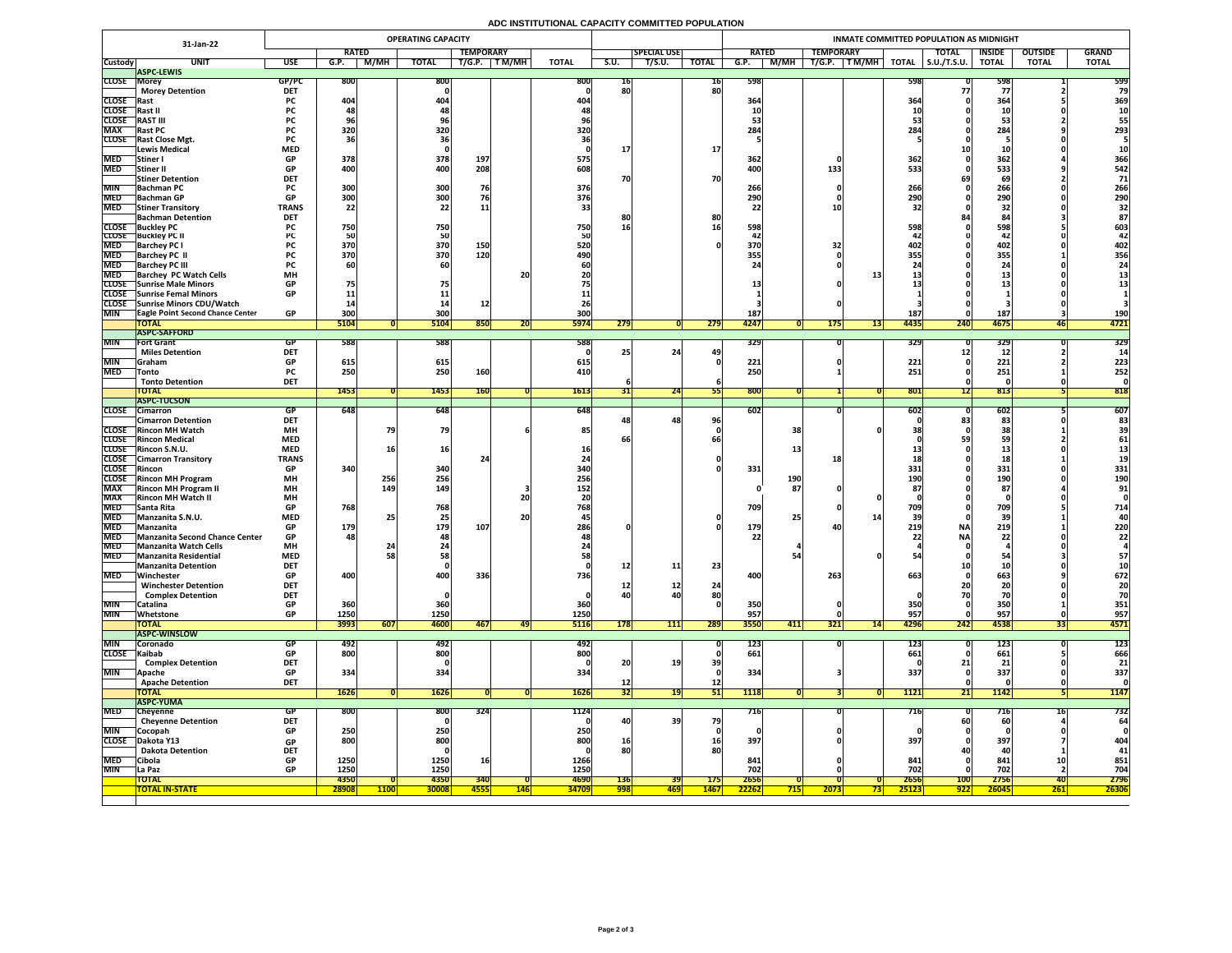# **ADC INSTITUTIONAL CAPACITY COMMITTED POPULATION**

|                          | 31-Jan-22                                               | <b>OPERATING CAPACITY</b>  |                         |             |              |                  |                        |              |                 |                    |              | INMATE COMMITTED POPULATION AS MIDNIGHT |                  |                     |                          |                  |                |              |  |  |  |
|--------------------------|---------------------------------------------------------|----------------------------|-------------------------|-------------|--------------|------------------|------------------------|--------------|-----------------|--------------------|--------------|-----------------------------------------|------------------|---------------------|--------------------------|------------------|----------------|--------------|--|--|--|
|                          |                                                         |                            | <b>RATED</b>            |             |              | <b>TEMPORARY</b> |                        |              |                 | <b>SPECIAL USE</b> |              | <b>RATED</b>                            | <b>TEMPORARY</b> |                     | <b>TOTAL</b>             | <b>INSIDE</b>    | <b>OUTSIDE</b> | <b>GRAND</b> |  |  |  |
| <b>Custody</b>           | <b>UNIT</b>                                             | <b>USE</b>                 | G.P.                    | M/MH        | <b>TOTAL</b> | T/G.P.           | T M/MH<br><b>TOTAL</b> |              | S.U.            | T/S.U.             | <b>TOTAL</b> | M/MH<br>G.P.                            | T/G.P.<br>TM/MH  | <b>TOTAL</b>        | $\vert$ S.U./T.S.U.      | <b>TOTAL</b>     | <b>TOTAL</b>   | <b>TOTAL</b> |  |  |  |
| <b>CLOSE Morey</b>       | <b>ASPC-LEWIS</b>                                       | GP/PC                      | 800                     |             | 800          |                  |                        | 800          | 10 <sub>1</sub> |                    | <b>16</b>    | 598                                     |                  | 598                 |                          | 598              |                | 599          |  |  |  |
|                          | <b>Morey Detention</b>                                  | <b>DET</b>                 |                         |             |              |                  |                        |              | 80              |                    | 80           |                                         |                  |                     |                          |                  |                | 79           |  |  |  |
| <b>CLOSE</b> Rast        |                                                         | <b>PC</b>                  | 404                     |             | 404          |                  |                        | 404          |                 |                    |              | 364                                     |                  | 364                 |                          | 364              |                | 369          |  |  |  |
| <b>CLOSE</b>             | Rast II                                                 | rı.                        |                         |             |              |                  |                        |              |                 |                    |              |                                         |                  |                     |                          |                  |                |              |  |  |  |
| <b>CLOSE</b>             | <b>RAST III</b>                                         | ۲Ć.                        |                         |             | 70           |                  |                        |              |                 |                    |              | 53                                      |                  |                     |                          |                  |                | ככ           |  |  |  |
| <b>MAX</b>               | <b>Rast PC</b><br>CLOSE Rast Close Mgt.                 | <b>PC</b><br><b>PC</b>     | 320                     |             | 320          |                  |                        | 320          |                 |                    |              | 284                                     |                  | 284                 |                          | 284              |                | 293          |  |  |  |
|                          | <b>Lewis Medical</b>                                    | <b>MED</b>                 |                         |             |              |                  |                        |              |                 |                    | <b>17</b>    |                                         |                  |                     |                          |                  |                |              |  |  |  |
| <b>MED</b>               | <b>Stiner</b> I                                         | <b>GP</b>                  | 378                     |             | 378          | 197              |                        | 575          |                 |                    |              | 362                                     |                  | 362                 |                          | 362              |                | 366          |  |  |  |
| <b>MED</b>               | Stiner II                                               | <b>GP</b>                  | 400                     |             | 400          | 208              |                        | 608          |                 |                    |              | 400                                     | 133              | 533                 |                          | 533              |                | 542          |  |  |  |
|                          | <b>Stiner Detention</b>                                 | <b>DET</b>                 |                         |             |              |                  |                        |              | 70              |                    | 70           |                                         |                  |                     |                          | 69               |                | 71           |  |  |  |
| <b>MIN</b>               | <b>Bachman PC</b>                                       |                            | 300<br>300 <sub>l</sub> |             | 300          | 76               |                        | 376          |                 |                    |              | 266                                     |                  | 266<br>cool         |                          | 266<br>200       |                | 266          |  |  |  |
| <b>MED</b>               | MED Bachman GP<br><b>Stiner Transitory</b>              | <b>GP</b><br><b>TRANS</b>  | <b>PODE</b><br>22       |             | 300<br>22    |                  |                        | 376          |                 |                    |              | 290                                     |                  | 2JU                 |                          | <b>ZJU</b>       |                | 290          |  |  |  |
|                          | <b>Bachman Detention</b>                                | <b>DET</b>                 |                         |             |              | ᆂᆂ               |                        |              | 8ľ              |                    | 80           |                                         |                  |                     |                          |                  |                |              |  |  |  |
|                          | <b>CLOSE</b> Buckley PC                                 |                            | 750 <sub>1</sub>        |             | 750          |                  |                        | 750          | 16              |                    |              | 598                                     |                  | 598                 |                          |                  |                | 603          |  |  |  |
|                          | <b>CLOSE</b> Buckley PC II                              |                            |                         |             | 50           |                  |                        |              |                 |                    |              |                                         |                  |                     |                          |                  |                | 42           |  |  |  |
| <b>MED</b>               | <b>Barchey PC I</b>                                     |                            | 370                     |             | 370          | 150              |                        | 520          |                 |                    |              | 370                                     |                  | 402                 |                          | 402              |                | 402          |  |  |  |
| <b>MED</b><br><b>MED</b> | <b>Barchey PC II</b><br><b>Barchey PC III</b>           |                            | 370                     |             | 370<br>60    | 120              |                        | 490          |                 |                    |              | 355                                     |                  | 355                 |                          | 355              |                | 356          |  |  |  |
| <b>MED</b>               | <b>Barchey PC Watch Cells</b>                           | <b>MH</b>                  |                         |             |              |                  | 20                     |              |                 |                    |              |                                         |                  |                     |                          |                  |                |              |  |  |  |
|                          | <b>CLOSE</b> Sunrise Male Minors                        | <b>GP</b>                  |                         |             |              |                  |                        |              |                 |                    |              |                                         |                  |                     |                          |                  |                |              |  |  |  |
|                          | <b>CLOSE</b> Sunrise Femal Minors                       | <b>GP</b>                  |                         |             |              |                  |                        |              |                 |                    |              |                                         |                  |                     |                          |                  |                |              |  |  |  |
|                          | CLOSE Sunrise Minors CDU/Watch                          |                            |                         |             |              |                  |                        |              |                 |                    |              |                                         |                  |                     |                          |                  |                |              |  |  |  |
| <b>MIN</b>               | <b>TEagle Point Second Chance Center</b>                | <b>GP</b>                  | 300                     |             | 300          |                  |                        | 300          |                 |                    |              | 187                                     |                  | 187                 |                          | 187              |                | <b>190</b>   |  |  |  |
|                          | <b>TOTAL</b><br><b>ASPC-SAFFORD</b>                     |                            | 5104                    |             | 5104         | 850              | ZU                     | <b>5974</b>  | 279             |                    | 279          | 4247                                    | <b>175</b>       | 4435<br>131         | 240                      | 4675             | 46             | 4721         |  |  |  |
| <b>MIN</b>               | <b>Fort Grant</b>                                       | GP                         | 588                     |             | 588          |                  |                        | 588I         |                 |                    |              | 329                                     |                  | 329                 |                          | 329              |                | 329          |  |  |  |
|                          | <b>Miles Detention</b>                                  | <b>DET</b>                 |                         |             |              |                  |                        |              |                 | 24                 |              |                                         |                  |                     |                          |                  |                |              |  |  |  |
| <b>MIN</b>               | <b>Sanam</b>                                            | <b>GP</b>                  | 615                     |             | 615          |                  |                        | 615          |                 |                    |              | 221                                     |                  | 221                 |                          | 221              |                | 223          |  |  |  |
| <b>MED</b>               | <b>Tonto</b>                                            | <b>PC</b>                  | 250                     |             | 250          | 160              |                        | 410          |                 |                    |              | 250                                     |                  | 251                 |                          | 251              |                | 252          |  |  |  |
|                          | <b>Tonto Detention</b>                                  | <b>DET</b>                 |                         |             |              |                  |                        |              |                 |                    |              |                                         |                  |                     |                          |                  |                |              |  |  |  |
|                          | <b>TOTAL</b><br><b>ASPC-TUCSON</b>                      |                            | 1453                    |             | 1453         | <b>160</b>       |                        | 1613         |                 | 24                 |              | 800                                     |                  | 801                 |                          | 813              |                | 818          |  |  |  |
|                          | CLOSE Cimarron                                          | GP                         | 648                     |             | 648          |                  |                        | 648          |                 |                    |              | 602                                     |                  | 6021                |                          | 602              |                | 607          |  |  |  |
|                          | <b>Cimarron Detention</b>                               | <b>DET</b>                 |                         |             |              |                  |                        |              |                 | 48 <sub>1</sub>    | 96           |                                         |                  |                     |                          | 83               |                | 83           |  |  |  |
|                          | <b>CLOSE</b> Rincon MH Watch                            | <b>MH</b>                  |                         |             | 79           |                  |                        | 85           |                 |                    |              |                                         | 38               |                     |                          |                  |                |              |  |  |  |
|                          | <b>CLOSE</b> Rincon Medical                             | <b>MED</b>                 |                         |             |              |                  |                        |              |                 |                    |              |                                         |                  |                     |                          |                  |                | 61           |  |  |  |
|                          | CLOSE Rincon S.N.U.<br><b>CLOSE</b> Cimarron Transitory | <b>MED</b><br><b>TRANS</b> |                         |             | <b>16</b>    |                  |                        |              |                 |                    |              |                                         | 18               |                     |                          |                  |                |              |  |  |  |
| <b>CLOSE</b> Rincon      |                                                         | <b>GP</b>                  | 340                     |             | 340          |                  |                        | <b>340</b>   |                 |                    |              | 331                                     |                  | <b>331</b>          |                          | 331              |                | 331          |  |  |  |
|                          | <b>CLOSE</b> Rincon MH Program                          | <b>MH</b>                  |                         | 256         | 256          |                  |                        | 256          |                 |                    |              | <b>190</b>                              |                  | エフリ                 |                          | 190              |                | <b>190</b>   |  |  |  |
| <b>MAX</b>               | <b>Rincon MH Program II</b>                             | <b>MH</b>                  |                         | 149         | 149          |                  |                        | 152          |                 |                    |              |                                         | 87               |                     |                          | 87               |                | 91           |  |  |  |
| <b>MAX</b>               | <b>Rincon MH Watch II</b>                               | <b>MH</b>                  |                         |             |              |                  | 20                     |              |                 |                    |              |                                         |                  |                     |                          |                  |                |              |  |  |  |
| <b>MED</b>               | <b>Santa Rita</b>                                       | <b>GP</b>                  | 768                     |             | 768          |                  |                        | 768          |                 |                    |              | 709                                     |                  | 700<br>/ UJ         |                          | 709              |                | 714          |  |  |  |
| <b>MED</b><br><b>MED</b> | Manzanita S.N.U.                                        | <b>MED</b><br><b>GP</b>    | 179                     |             | 25<br>179    | 107              | <b>20</b>              | 286          |                 |                    |              | <b>179</b>                              |                  | 219                 | <b>NA</b>                | <b>39</b><br>219 |                | 40<br>220    |  |  |  |
|                          | Manzanita<br>MED Manzanita Second Chance Center         | <b>GP</b>                  | 481                     |             | 48           |                  |                        |              |                 |                    |              |                                         |                  |                     | <b>NA</b>                | ZZ.              |                | 22           |  |  |  |
| <b>MED</b>               | <b>Manzanita Watch Cells</b>                            | <b>MH</b>                  |                         |             |              |                  |                        |              |                 |                    |              |                                         |                  |                     |                          |                  |                |              |  |  |  |
| <b>MED</b>               | Manzanita Residential                                   | <b>MED</b>                 |                         |             | 58           |                  |                        |              |                 |                    |              |                                         |                  |                     |                          |                  |                | 57           |  |  |  |
|                          | <b>Manzanita Detention</b>                              | <b>DET</b>                 |                         |             |              |                  |                        |              | 12              | 11                 | 23           |                                         |                  |                     |                          |                  |                |              |  |  |  |
| <b>MED</b>               | Winchester                                              | <b>GP</b>                  | 400                     |             | 400          | 336              |                        | 736          |                 |                    |              | 400                                     | 263              | 663                 |                          | 663              |                | 672          |  |  |  |
|                          | <b>Winchester Detention</b><br><b>Complex Detention</b> | <b>DET</b><br><b>DET</b>   |                         |             |              |                  |                        |              | 40              | <b>12</b><br>40    | 24<br>80     |                                         |                  |                     |                          |                  |                | 20<br>70     |  |  |  |
| <b>MIN</b>               | Catalina                                                | <b>GP</b>                  | 360                     |             | 360          |                  |                        | 360          |                 |                    |              | 350                                     |                  | <b>350</b>          |                          | 350              |                | 351          |  |  |  |
| <b>MIN</b>               | Whetstone                                               | <b>GP</b>                  | 1250                    |             | 1250         |                  |                        | 1250         |                 |                    |              | 957                                     |                  | 957                 |                          | 957              |                | 957          |  |  |  |
|                          | <b>TOTAL</b>                                            |                            | 3993                    | 607         | 4600         | 467              | 47                     | <b>5116</b>  | 178             | 111                | 289          | 3550<br> 411                            | 321              | 14 <br>4296         | 242                      | 4538             | 55V            | 4571         |  |  |  |
|                          | <b>ASPC-WINSLOW</b>                                     |                            |                         |             |              |                  |                        |              |                 |                    |              |                                         |                  |                     |                          |                  |                |              |  |  |  |
| <b>MIN</b>               | <b>Coronado</b>                                         | GP                         | 492                     |             | 492          |                  |                        | 492          |                 |                    |              | <b>123</b>                              |                  | 123                 |                          | <u> 123</u>      |                | 123          |  |  |  |
| CLOSE Kaibab             | <b>Complex Detention</b>                                | GP<br><b>DET</b>           | 800                     |             | 800          |                  |                        | 800          | 20              |                    | 39           | 661                                     |                  | 661                 |                          | 661              |                | 666<br>21    |  |  |  |
| <b>MIN</b>               | <b>Apache</b>                                           | <b>GP</b>                  | 334                     |             | 334          |                  |                        | 334          |                 |                    |              | 334                                     |                  | 337                 |                          | 337              |                | 337          |  |  |  |
|                          | <b>Apache Detention</b>                                 | <b>DET</b>                 |                         |             |              |                  |                        |              |                 |                    | 12           |                                         |                  |                     |                          |                  |                |              |  |  |  |
|                          | <b>TOTAL</b>                                            |                            | 1626                    |             | 1626         |                  |                        | 1626         | 32              |                    | <b>511</b>   | 1118                                    |                  | <b>1121</b>         | 21                       | <b>1142</b>      |                | 1147         |  |  |  |
|                          | <b>ASPC-YUMA</b>                                        |                            |                         |             |              |                  |                        |              |                 |                    |              |                                         |                  |                     |                          |                  |                |              |  |  |  |
| <b>MED</b>               | Cheyenne                                                | <b>GP</b>                  | 800                     |             | 800          | 324              |                        | 1124         |                 |                    |              | 716                                     |                  | 716                 |                          | 716              | 16             | 732          |  |  |  |
| <b>MIN</b>               | <b>Cheyenne Detention</b><br>Cocopah                    | <b>DET</b><br><b>GP</b>    | 250                     |             | 250          |                  |                        | 250          | 40              | 39                 | 79           |                                         |                  |                     |                          | 60               |                | 64           |  |  |  |
| <b>CLOSE</b>             | Dakota Y13                                              | <b>GP</b>                  | 800                     |             | 800          |                  |                        | 800          | <b>16</b>       |                    | <b>16</b>    | 397                                     |                  | 397                 |                          | 397              |                | 404          |  |  |  |
|                          | <b>Dakota Detention</b>                                 | <b>DET</b>                 |                         |             |              |                  |                        |              | 80              |                    | 80           |                                         |                  |                     |                          |                  |                | 41           |  |  |  |
| <b>MED</b>               | Cibola                                                  | <b>GP</b>                  | 1250                    |             | 1250         | <b>16</b>        |                        | 1266         |                 |                    |              | 841                                     |                  | 841                 |                          | 841              |                | 851          |  |  |  |
| <b>MIN</b>               | La Paz                                                  | <b>GP</b>                  | 1250                    |             | 1250         |                  |                        | 1250         |                 |                    |              | 702                                     |                  | 702                 |                          | 702              |                | 704          |  |  |  |
|                          | <b>TOTAL</b><br><b>TOTAL IN-STATE</b>                   |                            | 4350                    |             | 4350         | <b>340</b>       |                        | 4690         | <b>136</b>      | <b>39</b>          | <b>175</b>   | 2656                                    |                  | 2656                | <b>100</b><br><b>922</b> | 2756             | <b>40</b>      | 2796         |  |  |  |
|                          |                                                         |                            | 28908                   | <b>1100</b> | <b>30008</b> | <b>4555</b>      | <b>146</b>             | <b>34709</b> | <b>998</b>      | <u> 469</u>        | <b>1467</b>  | 22262<br>715                            | 2073             | 25123<br><b>731</b> |                          | 26045            | 261            | 26306        |  |  |  |